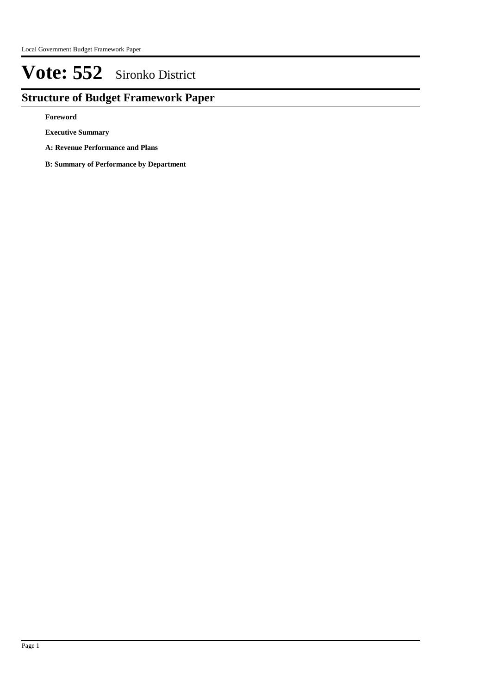## **Structure of Budget Framework Paper**

**Foreword**

**Executive Summary**

**A: Revenue Performance and Plans**

**B: Summary of Performance by Department**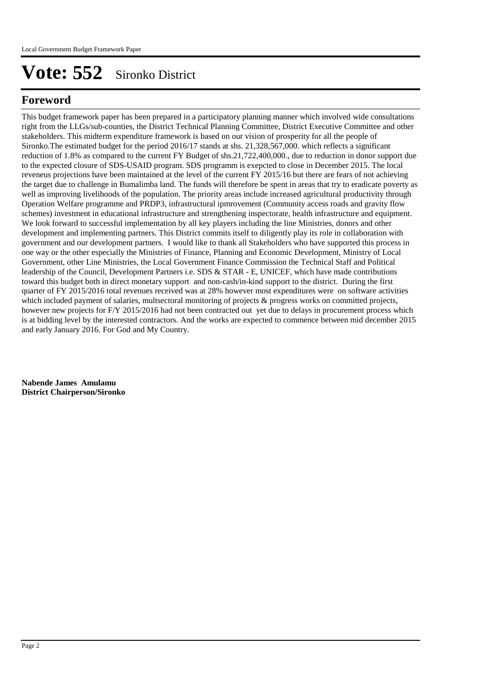## **Foreword**

This budget framework paper has been prepared in a participatory planning manner which involved wide consultations right from the LLGs/sub-counties, the District Technical Planning Committee, District Executive Committee and other stakeholders. This midterm expenditure framework is based on our vision of prosperity for all the people of Sironko.The estimated budget for the period 2016/17 stands at shs. 21,328,567,000. which reflects a significant reduction of 1.8% as compared to the current FY Budget of shs.21,722,400,000., due to reduction in donor support due to the expected closure of SDS-USAID program. SDS programm is exepcted to close in December 2015. The local reveneus projections have been maintained at the level of the current FY 2015/16 but there are fears of not achieving the target due to challenge in Bumalimba land. The funds will therefore be spent in areas that try to eradicate poverty as well as improving livelihoods of the population. The priority areas include increased agricultural productivity through Operation Welfare programme and PRDP3, infrastructural ipmrovement (Community access roads and gravity flow schemes) investment in educational infrastructure and strengthening inspectorate, health infrastructure and equipment. We look forward to successful implementation by all key players including the line Ministries, donors and other development and implementing partners. This District commits itself to diligently play its role in collaboration with government and our development partners. I would like to thank all Stakeholders who have supported this process in one way or the other especially the Ministries of Finance, Planning and Economic Development, Ministry of Local Government, other Line Ministries, the Local Government Finance Commission the Technical Staff and Political leadership of the Council, Development Partners i.e. SDS & STAR - E, UNICEF, which have made contributions toward this budget both in direct monetary support and non-cash/in-kind support to the district. During the first quarter of FY 2015/2016 total revenues received was at 28% however most expenditures were on software activities which included payment of salaries, multsectoral monitoring of projects & progress works on committed projects, however new projects for F/Y 2015/2016 had not been contracted out yet due to delays in procurement process which is at bidding level by the interested contractors. And the works are expected to commence between mid december 2015 and early January 2016. For God and My Country.

**Nabende James Amulamu District Chairperson/Sironko**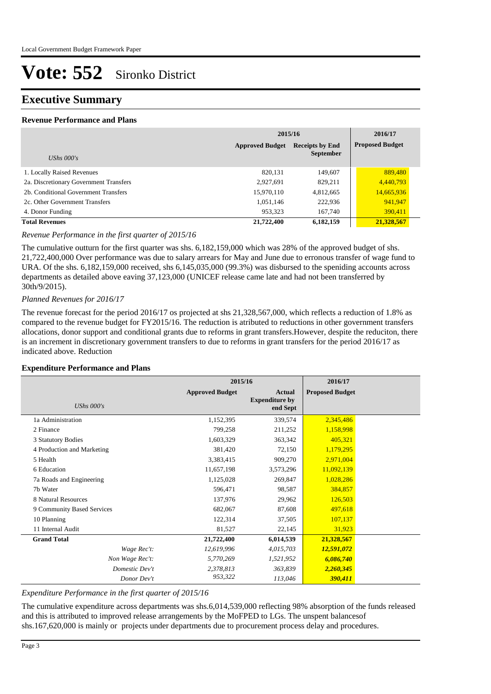### **Executive Summary**

#### **Revenue Performance and Plans**

|                                        | 2015/16                | 2016/17                |                        |
|----------------------------------------|------------------------|------------------------|------------------------|
|                                        | <b>Approved Budget</b> | <b>Receipts by End</b> | <b>Proposed Budget</b> |
| UShs $000's$                           |                        | <b>September</b>       |                        |
| 1. Locally Raised Revenues             | 820,131                | 149,607                | 889,480                |
| 2a. Discretionary Government Transfers | 2,927,691              | 829,211                | 4,440,793              |
| 2b. Conditional Government Transfers   | 15,970,110             | 4,812,665              | 14,665,936             |
| 2c. Other Government Transfers         | 1,051,146              | 222,936                | 941,947                |
| 4. Donor Funding                       | 953,323                | 167,740                | 390,411                |
| <b>Total Revenues</b>                  | 21,722,400             | 6,182,159              | 21,328,567             |

#### *Revenue Performance in the first quarter of 2015/16*

The cumulative outturn for the first quarter was shs. 6,182,159,000 which was 28% of the approved budget of shs. 21,722,400,000 Over performance was due to salary arrears for May and June due to erronous transfer of wage fund to URA. Of the shs. 6,182,159,000 received, shs 6,145,035,000 (99.3%) was disbursed to the speniding accounts across departments as detailed above eaving 37,123,000 (UNICEF release came late and had not been transferred by 30th/9/2015).

#### *Planned Revenues for 2016/17*

The revenue forecast for the period 2016/17 os projected at shs 21,328,567,000, which reflects a reduction of 1.8% as compared to the revenue budget for FY2015/16. The reduction is atributed to reductions in other government transfers allocations, donor support and conditional grants due to reforms in grant transfers.However, despite the reduciton, there is an increment in discretionary government transfers to due to reforms in grant transfers for the period 2016/17 as indicated above. Reduction

#### **Expenditure Performance and Plans**

|                            | 2015/16                |                                                    | 2016/17                |  |
|----------------------------|------------------------|----------------------------------------------------|------------------------|--|
| <b>UShs 000's</b>          | <b>Approved Budget</b> | <b>Actual</b><br><b>Expenditure by</b><br>end Sept | <b>Proposed Budget</b> |  |
| 1a Administration          | 1,152,395              | 339,574                                            | 2,345,486              |  |
| 2 Finance                  | 799,258                | 211,252                                            | 1,158,998              |  |
| 3 Statutory Bodies         | 1,603,329              | 363,342                                            | 405,321                |  |
| 4 Production and Marketing | 381,420                | 72,150                                             | 1,179,295              |  |
| 5 Health                   | 3,383,415              | 909,270                                            | 2,971,004              |  |
| 6 Education                | 11,657,198             | 3,573,296                                          | 11,092,139             |  |
| 7a Roads and Engineering   | 1,125,028              | 269,847                                            | 1,028,286              |  |
| 7b Water                   | 596,471                | 98,587                                             | 384,857                |  |
| 8 Natural Resources        | 137,976                | 29,962                                             | 126,503                |  |
| 9 Community Based Services | 682,067                | 87,608                                             | 497,618                |  |
| 10 Planning                | 122,314                | 37,505                                             | 107,137                |  |
| 11 Internal Audit          | 81,527                 | 22,145                                             | 31,923                 |  |
| <b>Grand Total</b>         | 21,722,400             | 6,014,539                                          | 21,328,567             |  |
| Wage Rec't:                | 12,619,996             | 4,015,703                                          | 12,591,072             |  |
| Non Wage Rec't:            | 5,770,269              | 1,521,952                                          | 6,086,740              |  |
| Domestic Dev't             | 2,378,813              | 363,839                                            | 2,260,345              |  |
| Donor Dev't                | 953,322                | 113,046                                            | 390,411                |  |

#### *Expenditure Performance in the first quarter of 2015/16*

The cumulative expenditure across departments was shs.6,014,539,000 reflecting 98% absorption of the funds released and this is attributed to improved release arrangements by the MoFPED to LGs. The unspent balancesof shs.167,620,000 is mainly or projects under departments due to procurement process delay and procedures.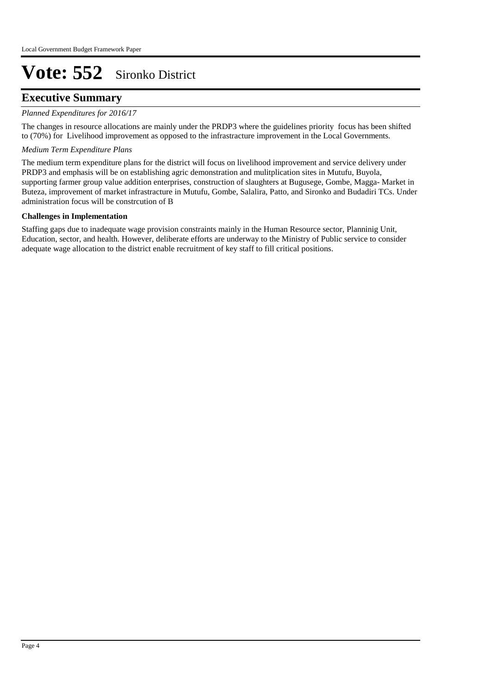### **Executive Summary**

#### *Planned Expenditures for 2016/17*

The changes in resource allocations are mainly under the PRDP3 where the guidelines priority focus has been shifted to (70%) for Livelihood improvement as opposed to the infrastracture improvement in the Local Governments.

#### *Medium Term Expenditure Plans*

The medium term expenditure plans for the district will focus on livelihood improvement and service delivery under PRDP3 and emphasis will be on establishing agric demonstration and mulitplication sites in Mutufu, Buyola, supporting farmer group value addition enterprises, construction of slaughters at Bugusege, Gombe, Magga- Market in Buteza, improvement of market infrastracture in Mutufu, Gombe, Salalira, Patto, and Sironko and Budadiri TCs. Under administration focus will be constrcution of B

#### **Challenges in Implementation**

Staffing gaps due to inadequate wage provision constraints mainly in the Human Resource sector, Planninig Unit, Education, sector, and health. However, deliberate efforts are underway to the Ministry of Public service to consider adequate wage allocation to the district enable recruitment of key staff to fill critical positions.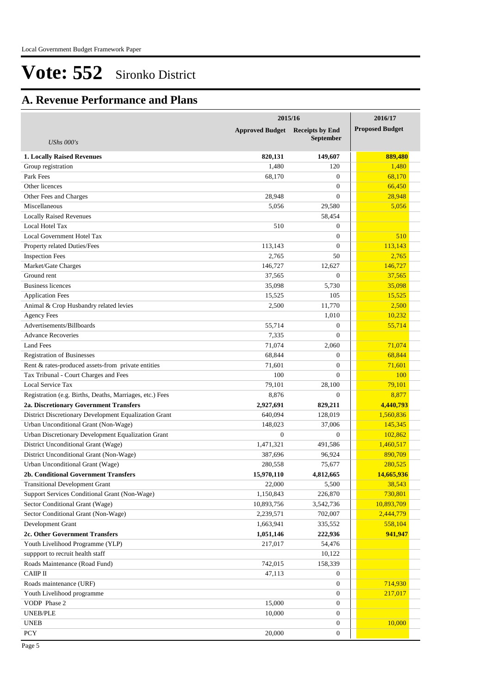## **A. Revenue Performance and Plans**

|                                                          | 2015/16                | 2016/17                |                        |
|----------------------------------------------------------|------------------------|------------------------|------------------------|
|                                                          | <b>Approved Budget</b> | <b>Receipts by End</b> | <b>Proposed Budget</b> |
| UShs $000's$                                             |                        | <b>September</b>       |                        |
| <b>1. Locally Raised Revenues</b>                        | 820,131                | 149,607                | 889,480                |
| Group registration                                       | 1,480                  | 120                    | 1,480                  |
| Park Fees                                                | 68,170                 | $\mathbf{0}$           | 68,170                 |
| Other licences                                           |                        | $\overline{0}$         | 66,450                 |
| Other Fees and Charges                                   | 28,948                 | $\mathbf{0}$           | 28.948                 |
| Miscellaneous                                            | 5,056                  | 29,580                 | 5,056                  |
| <b>Locally Raised Revenues</b>                           |                        | 58,454                 |                        |
| Local Hotel Tax                                          | 510                    | $\mathbf{0}$           |                        |
| Local Government Hotel Tax                               |                        | $\mathbf{0}$           | 510                    |
| Property related Duties/Fees                             | 113,143                | $\overline{0}$         | 113,143                |
| <b>Inspection Fees</b>                                   | 2,765                  | 50                     | 2,765                  |
| Market/Gate Charges                                      | 146,727                | 12,627                 | 146,727                |
| Ground rent                                              | 37,565                 | $\overline{0}$         | 37,565                 |
| <b>Business licences</b>                                 | 35,098                 | 5,730                  | 35,098                 |
| <b>Application Fees</b>                                  | 15,525                 | 105                    | 15,525                 |
| Animal & Crop Husbandry related levies                   | 2,500                  | 11,770                 | 2,500                  |
| <b>Agency Fees</b>                                       |                        | 1,010                  | 10,232                 |
| Advertisements/Billboards                                | 55,714                 | $\mathbf{0}$           | 55,714                 |
| <b>Advance Recoveries</b>                                | 7,335                  | $\overline{0}$         |                        |
| <b>Land Fees</b>                                         | 71,074                 | 2,060                  | 71,074                 |
| <b>Registration of Businesses</b>                        | 68,844                 | $\overline{0}$         | 68,844                 |
| Rent & rates-produced assets-from private entities       | 71,601                 | $\mathbf{0}$           | 71,601                 |
| Tax Tribunal - Court Charges and Fees                    | 100                    | $\Omega$               | 100                    |
| Local Service Tax                                        | 79,101                 | 28,100                 | 79,101                 |
| Registration (e.g. Births, Deaths, Marriages, etc.) Fees | 8,876                  | $\mathbf{0}$           | 8,877                  |
| 2a. Discretionary Government Transfers                   | 2,927,691              | 829,211                | 4,440,793              |
| District Discretionary Development Equalization Grant    | 640,094                | 128,019                | 1,560,836              |
| Urban Unconditional Grant (Non-Wage)                     | 148,023                | 37,006                 | 145,345                |
| Urban Discretionary Development Equalization Grant       | $\overline{0}$         | $\mathbf{0}$           | 102,862                |
| District Unconditional Grant (Wage)                      | 1,471,321              | 491,586                | 1,460,517              |
| District Unconditional Grant (Non-Wage)                  | 387,696                | 96,924                 | 890,709                |
| Urban Unconditional Grant (Wage)                         | 280,558                | 75,677                 | 280,525                |
| 2b. Conditional Government Transfers                     | 15,970,110             | 4,812,665              | 14,665,936             |
| <b>Transitional Development Grant</b>                    | 22,000                 | 5,500                  | 38,543                 |
| Support Services Conditional Grant (Non-Wage)            | 1,150,843              | 226,870                | 730,801                |
| Sector Conditional Grant (Wage)                          | 10,893,756             | 3,542,736              | 10,893,709             |
| Sector Conditional Grant (Non-Wage)                      | 2,239,571              | 702,007                | 2,444,779              |
| Development Grant                                        | 1,663,941              | 335,552                | 558,104                |
| 2c. Other Government Transfers                           | 1,051,146              | 222,936                | 941,947                |
| Youth Livelihood Programme (YLP)                         | 217,017                | 54,476                 |                        |
| support to recruit health staff                          |                        | 10,122                 |                        |
| Roads Maintenance (Road Fund)                            | 742,015                | 158,339                |                        |
| $CAIP$ II                                                | 47,113                 | $\mathbf{0}$           |                        |
| Roads maintenance (URF)                                  |                        | $\mathbf{0}$           | 714,930                |
| Youth Livelihood programme                               |                        | $\overline{0}$         | 217,017                |
| VODP Phase 2                                             | 15,000                 | $\overline{0}$         |                        |
| <b>UNEB/PLE</b>                                          | 10,000                 | $\overline{0}$         |                        |
| <b>UNEB</b>                                              |                        | $\mathbf{0}$           | 10,000                 |
| PCY                                                      | 20,000                 | $\boldsymbol{0}$       |                        |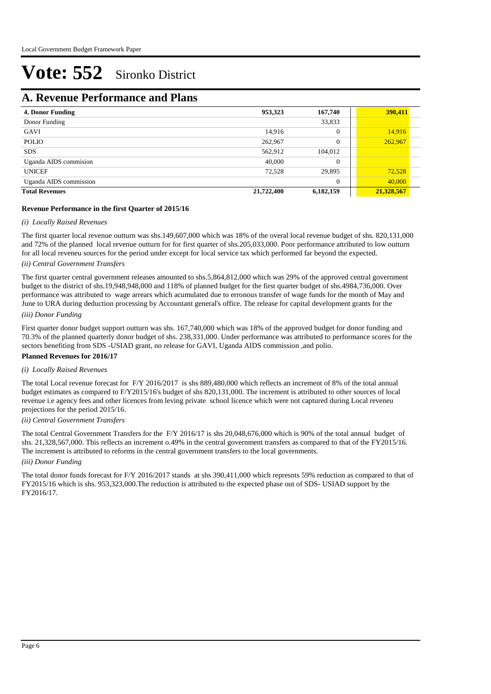### **A. Revenue Performance and Plans**

| <b>4. Donor Funding</b> | 953,323    | 167,740        | 390,411    |
|-------------------------|------------|----------------|------------|
| Donor Funding           |            | 33,833         |            |
| GAVI                    | 14,916     | $\overline{0}$ | 14,916     |
| <b>POLIO</b>            | 262,967    | $\Omega$       | 262,967    |
| <b>SDS</b>              | 562,912    | 104,012        |            |
| Uganda AIDS commision   | 40,000     | $\overline{0}$ |            |
| <b>UNICEF</b>           | 72,528     | 29,895         | 72,528     |
| Uganda AIDS commission  |            | $\overline{0}$ | 40,000     |
| <b>Total Revenues</b>   | 21,722,400 | 6,182,159      | 21,328,567 |

#### **Revenue Performance in the first Quarter of 2015/16**

#### *(i) Locally Raised Revenues*

The first quarter local revenue outturn was shs.149,607,000 which was 18% of the overal local revenue budget of shs. 820,131,000 and 72% of the planned local revenue outturn for for first quarter of shs.205,033,000. Poor performance attributed to low outturn for all local reveneu sources for the period under except for local service tax which performed far beyond the expected.

#### *(ii) Central Government Transfers*

The first quarter central government releases amounted to shs.5,864,812,000 which was 29% of the approved central government budget to the district of shs.19,948,948,000 and 118% of planned budget for the first quarter budget of shs.4984,736,000. Over performance was attributed to wage arrears which acumulated due to erronous transfer of wage funds for the month of May and June to URA during deduction processing by Accountant general's office. The release for capital development grants for the

#### *(iii) Donor Funding*

First quarter donor budget support outturn was shs. 167,740,000 which was 18% of the approved budget for donor funding and 70.3% of the planned quarterly donor budget of shs. 238,331,000. Under performance was attributed to performance scores for the sectors benefiting from SDS -USIAD grant, no release for GAVI, Uganda AIDS commission ,and polio.

#### **Planned Revenues for 2016/17**

#### *(i) Locally Raised Revenues*

The total Local revenue forecast for F/Y 2016/2017 is shs 889,480,000 which reflects an increment of 8% of the total annual budget estimates as compared to F/Y2015/16's budget of shs 820,131,000. The increment is attributed to other sources of local revenue i.e agency fees and other licences from leving private school licence which were not captured during Local reveneu projections for the period 2015/16.

#### *(ii) Central Government Transfers*

*(iii) Donor Funding* The total Central Government Transfers for the F/Y 2016/17 is shs 20,048,676,000 which is 90% of the total annual budget of shs. 21,328,567,000. This reflects an increment o.49% in the central government transfers as compared to that of the FY2015/16. The increment is attributed to reforms in the central government transfers to the local governments.

The total donor funds forecast for F/Y 2016/2017 stands at shs 390,411,000 which represnts 59% reduction as compared to that of FY2015/16 which is shs. 953,323,000.The reduction is attributed to the expected phase out of SDS- USIAD support by the FY2016/17.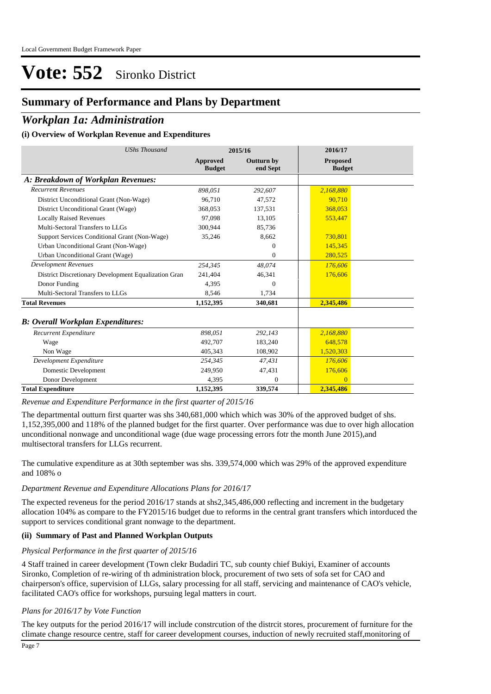## **Summary of Performance and Plans by Department**

### *Workplan 1a: Administration*

#### **(i) Overview of Workplan Revenue and Expenditures**

| <b>UShs Thousand</b>                                 |                           | 2015/16                       | 2016/17                          |
|------------------------------------------------------|---------------------------|-------------------------------|----------------------------------|
|                                                      | Approved<br><b>Budget</b> | <b>Outturn by</b><br>end Sept | <b>Proposed</b><br><b>Budget</b> |
| A: Breakdown of Workplan Revenues:                   |                           |                               |                                  |
| <b>Recurrent Revenues</b>                            | 898,051                   | 292,607                       | 2,168,880                        |
| District Unconditional Grant (Non-Wage)              | 96,710                    | 47,572                        | 90.710                           |
| District Unconditional Grant (Wage)                  | 368,053                   | 137,531                       | 368,053                          |
| <b>Locally Raised Revenues</b>                       | 97,098                    | 13,105                        | 553,447                          |
| Multi-Sectoral Transfers to LLGs                     | 300,944                   | 85,736                        |                                  |
| Support Services Conditional Grant (Non-Wage)        | 35,246                    | 8.662                         | 730,801                          |
| Urban Unconditional Grant (Non-Wage)                 |                           | $\Omega$                      | 145,345                          |
| Urban Unconditional Grant (Wage)                     |                           | $\Omega$                      | 280.525                          |
| <b>Development Revenues</b>                          | 254,345                   | 48,074                        | 176,606                          |
| District Discretionary Development Equalization Gran | 241,404                   | 46,341                        | 176,606                          |
| Donor Funding                                        | 4,395                     | $\Omega$                      |                                  |
| Multi-Sectoral Transfers to LLGs                     | 8,546                     | 1,734                         |                                  |
| <b>Total Revenues</b>                                | 1,152,395                 | 340,681                       | 2,345,486                        |
| <b>B: Overall Workplan Expenditures:</b>             |                           |                               |                                  |
| Recurrent Expenditure                                | 898,051                   | 292,143                       | 2,168,880                        |
| Wage                                                 | 492,707                   | 183,240                       | 648,578                          |
| Non Wage                                             | 405,343                   | 108,902                       | 1,520,303                        |
| Development Expenditure                              | 254,345                   | 47,431                        | 176,606                          |
| Domestic Development                                 | 249,950                   | 47,431                        | 176,606                          |
| Donor Development                                    | 4,395                     | $\overline{0}$                | $\overline{0}$                   |
| <b>Total Expenditure</b>                             | 1,152,395                 | 339,574                       | 2,345,486                        |

*Revenue and Expenditure Performance in the first quarter of 2015/16*

The departmental outturn first quarter was shs 340,681,000 which which was 30% of the approved budget of shs. 1,152,395,000 and 118% of the planned budget for the first quarter. Over performance was due to over high allocation unconditional nonwage and unconditional wage (due wage processing errors fotr the month June 2015),and multisectoral transfers for LLGs recurrent.

The cumulative expenditure as at 30th september was shs. 339,574,000 which was 29% of the approved expenditure and 108% o

#### *Department Revenue and Expenditure Allocations Plans for 2016/17*

The expected reveneus for the period 2016/17 stands at shs2,345,486,000 reflecting and increment in the budgetary allocation 104% as compare to the FY2015/16 budget due to reforms in the central grant transfers which intorduced the support to services conditional grant nonwage to the department.

#### **(ii) Summary of Past and Planned Workplan Outputs**

#### *Physical Performance in the first quarter of 2015/16*

4 Staff trained in career development (Town clekr Budadiri TC, sub county chief Bukiyi, Examiner of accounts Sironko, Completion of re-wiring of th administration block, procurement of two sets of sofa set for CAO and chairperson's office, supervision of LLGs, salary processing for all staff, servicing and maintenance of CAO's vehicle, facilitated CAO's office for workshops, pursuing legal matters in court.

#### *Plans for 2016/17 by Vote Function*

The key outputs for the period 2016/17 will include constrcution of the distrcit stores, procurement of furniture for the climate change resource centre, staff for career development courses, induction of newly recruited staff,monitoring of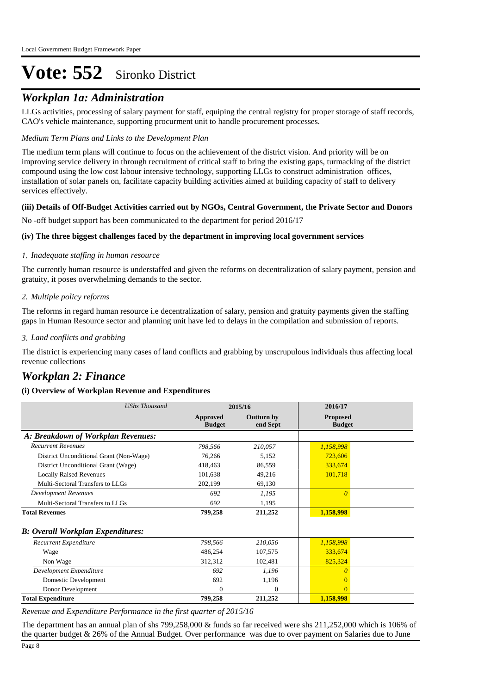### *Workplan 1a: Administration*

LLGs activities, processing of salary payment for staff, equiping the central registry for proper storage of staff records, CAO's vehicle maintenance, supporting procurment unit to handle procurement processes.

#### *Medium Term Plans and Links to the Development Plan*

The medium term plans will continue to focus on the achievement of the district vision. And priority will be on improving service delivery in through recruitment of critical staff to bring the existing gaps, turmacking of the district compound using the low cost labour intensive technology, supporting LLGs to construct administration offices, installation of solar panels on, facilitate capacity building activities aimed at building capacity of staff to delivery services effectively.

#### **(iii) Details of Off-Budget Activities carried out by NGOs, Central Government, the Private Sector and Donors**

No -off budget support has been communicated to the department for period 2016/17

#### **(iv) The three biggest challenges faced by the department in improving local government services**

#### *Inadequate staffing in human resource 1.*

The currently human resource is understaffed and given the reforms on decentralization of salary payment, pension and gratuity, it poses overwhelming demands to the sector.

#### *Multiple policy reforms 2.*

The reforms in regard human resource i.e decentralization of salary, pension and gratuity payments given the staffing gaps in Human Resource sector and planning unit have led to delays in the compilation and submission of reports.

#### *Land conflicts and grabbing 3.*

The district is experiencing many cases of land conflicts and grabbing by unscrupulous individuals thus affecting local revenue collections

### *Workplan 2: Finance*

#### **(i) Overview of Workplan Revenue and Expenditures**

| <b>UShs Thousand</b>                      | 2015/16                          |                               | 2016/17                          |
|-------------------------------------------|----------------------------------|-------------------------------|----------------------------------|
|                                           | <b>Approved</b><br><b>Budget</b> | <b>Outturn by</b><br>end Sept | <b>Proposed</b><br><b>Budget</b> |
| A: Breakdown of Workplan Revenues:        |                                  |                               |                                  |
| <b>Recurrent Revenues</b>                 | 798,566                          | 210,057                       | 1,158,998                        |
| District Unconditional Grant (Non-Wage)   | 76,266                           | 5,152                         | 723,606                          |
| District Unconditional Grant (Wage)       | 418,463                          | 86,559                        | 333,674                          |
| <b>Locally Raised Revenues</b>            | 101,638                          | 49,216                        | 101,718                          |
| Multi-Sectoral Transfers to LLGs          | 202,199                          | 69,130                        |                                  |
| <b>Development Revenues</b>               | 692                              | 1,195                         | $\theta$                         |
| Multi-Sectoral Transfers to LLGs          | 692                              | 1,195                         |                                  |
| <b>Total Revenues</b>                     | 799,258                          | 211,252                       | 1,158,998                        |
| <b>B</b> : Overall Workplan Expenditures: |                                  |                               |                                  |
| Recurrent Expenditure                     | 798,566                          | 210,056                       | 1,158,998                        |
| Wage                                      | 486,254                          | 107,575                       | 333,674                          |
| Non Wage                                  | 312,312                          | 102,481                       | 825,324                          |
| Development Expenditure                   | 692                              | 1,196                         | $\theta$                         |
| Domestic Development                      | 692                              | 1,196                         | 0                                |
| Donor Development                         | $\theta$                         | $\theta$                      | $\Omega$                         |
| <b>Total Expenditure</b>                  | 799,258                          | 211,252                       | 1,158,998                        |

*Revenue and Expenditure Performance in the first quarter of 2015/16*

The department has an annual plan of shs 799,258,000 & funds so far received were shs 211,252,000 which is 106% of the quarter budget & 26% of the Annual Budget. Over performance was due to over payment on Salaries due to June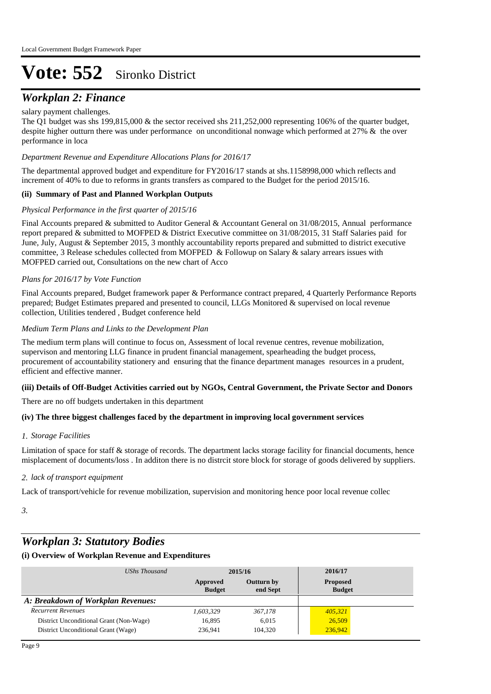### *Workplan 2: Finance*

#### salary payment challenges.

The Q1 budget was shs 199,815,000 & the sector received shs 211,252,000 representing 106% of the quarter budget, despite higher outturn there was under performance on unconditional nonwage which performed at 27% & the over performance in loca

#### *Department Revenue and Expenditure Allocations Plans for 2016/17*

The departmental approved budget and expenditure for FY2016/17 stands at shs.1158998,000 which reflects and increment of 40% to due to reforms in grants transfers as compared to the Budget for the period 2015/16.

#### **(ii) Summary of Past and Planned Workplan Outputs**

#### *Physical Performance in the first quarter of 2015/16*

Final Accounts prepared & submitted to Auditor General & Accountant General on 31/08/2015, Annual performance report prepared & submitted to MOFPED & District Executive committee on 31/08/2015, 31 Staff Salaries paid for June, July, August & September 2015, 3 monthly accountability reports prepared and submitted to district executive committee, 3 Release schedules collected from MOFPED & Followup on Salary & salary arrears issues with MOFPED carried out, Consultations on the new chart of Acco

#### *Plans for 2016/17 by Vote Function*

Final Accounts prepared, Budget framework paper & Performance contract prepared, 4 Quarterly Performance Reports prepared; Budget Estimates prepared and presented to council, LLGs Monitored & supervised on local revenue collection, Utilities tendered , Budget conference held

#### *Medium Term Plans and Links to the Development Plan*

The medium term plans will continue to focus on, Assessment of local revenue centres, revenue mobilization, supervison and mentoring LLG finance in prudent financial management, spearheading the budget process, procurement of accountability stationery and ensuring that the finance department manages resources in a prudent, efficient and effective manner.

#### **(iii) Details of Off-Budget Activities carried out by NGOs, Central Government, the Private Sector and Donors**

There are no off budgets undertaken in this department

#### **(iv) The three biggest challenges faced by the department in improving local government services**

#### *Storage Facilities 1.*

Limitation of space for staff & storage of records. The department lacks storage facility for financial documents, hence misplacement of documents/loss . In additon there is no distrcit store block for storage of goods delivered by suppliers.

#### *lack of transport equipment 2.*

Lack of transport/vehicle for revenue mobilization, supervision and monitoring hence poor local revenue collec

*3.*

## *Workplan 3: Statutory Bodies*

| UShs Thousand                           | 2015/16                   |                               | 2016/17                          |
|-----------------------------------------|---------------------------|-------------------------------|----------------------------------|
|                                         | Approved<br><b>Budget</b> | <b>Outturn by</b><br>end Sept | <b>Proposed</b><br><b>Budget</b> |
| A: Breakdown of Workplan Revenues:      |                           |                               |                                  |
| <b>Recurrent Revenues</b>               | 1.603.329                 | 367,178                       | 405,321                          |
| District Unconditional Grant (Non-Wage) | 16,895                    | 6.015                         | 26,509                           |
| District Unconditional Grant (Wage)     | 236.941                   | 104.320                       | 236,942                          |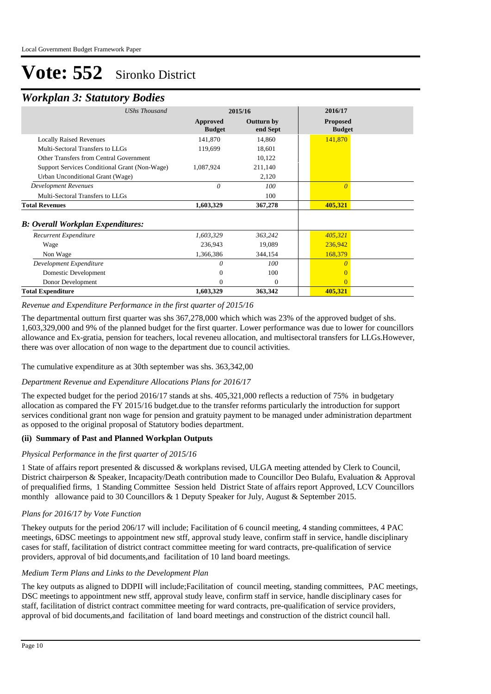### *Workplan 3: Statutory Bodies*

|                           |                               | 2016/17                          |  |
|---------------------------|-------------------------------|----------------------------------|--|
| Approved<br><b>Budget</b> | <b>Outturn by</b><br>end Sept | <b>Proposed</b><br><b>Budget</b> |  |
| 141,870                   | 14,860                        | 141,870                          |  |
| 119,699                   | 18,601                        |                                  |  |
|                           | 10,122                        |                                  |  |
| 1,087,924                 | 211,140                       |                                  |  |
|                           | 2,120                         |                                  |  |
| $\theta$                  | 100                           | $\Omega$                         |  |
|                           | 100                           |                                  |  |
| 1,603,329                 | 367,278                       | 405,321                          |  |
|                           |                               |                                  |  |
| 1,603,329                 | 363,242                       | 405,321                          |  |
| 236,943                   | 19,089                        | 236,942                          |  |
| 1,366,386                 | 344,154                       | 168,379                          |  |
| 0                         | 100                           |                                  |  |
| 0                         | 100                           |                                  |  |
| 0                         | $\Omega$                      | $\Omega$                         |  |
| 1,603,329                 | 363,342                       | 405,321                          |  |
|                           |                               | 2015/16                          |  |

#### *Revenue and Expenditure Performance in the first quarter of 2015/16*

The departmental outturn first quarter was shs 367,278,000 which which was 23% of the approved budget of shs. 1,603,329,000 and 9% of the planned budget for the first quarter. Lower performance was due to lower for councillors allowance and Ex-gratia, pension for teachers, local reveneu allocation, and multisectoral transfers for LLGs.However, there was over allocation of non wage to the department due to council activities.

The cumulative expenditure as at 30th september was shs. 363,342,00

#### *Department Revenue and Expenditure Allocations Plans for 2016/17*

The expected budget for the period 2016/17 stands at shs. 405,321,000 reflects a reduction of 75% in budgetary allocation as compared the FY 2015/16 budget.due to the transfer reforms particularly the introduction for support services conditional grant non wage for pension and gratuity payment to be managed under administration department as opposed to the original proposal of Statutory bodies department.

#### **(ii) Summary of Past and Planned Workplan Outputs**

#### *Physical Performance in the first quarter of 2015/16*

1 State of affairs report presented & discussed & workplans revised, ULGA meeting attended by Clerk to Council, District chairperson & Speaker, Incapacity/Death contribution made to Councillor Deo Bulafu, Evaluation & Approval of prequalified firms, 1 Standing Committee Session held District State of affairs report Approved, LCV Councillors monthly allowance paid to 30 Councillors & 1 Deputy Speaker for July, August & September 2015.

#### *Plans for 2016/17 by Vote Function*

Thekey outputs for the period 206/17 will include; Facilitation of 6 council meeting, 4 standing committees, 4 PAC meetings, 6DSC meetings to appointment new stff, approval study leave, confirm staff in service, handle disciplinary cases for staff, facilitation of district contract committee meeting for ward contracts, pre-qualification of service providers, approval of bid documents,and facilitation of 10 land board meetings.

#### *Medium Term Plans and Links to the Development Plan*

The key outputs as aligned to DDPII will include;Facilitation of council meeting, standing committees, PAC meetings, DSC meetings to appointment new stff, approval study leave, confirm staff in service, handle disciplinary cases for staff, facilitation of district contract committee meeting for ward contracts, pre-qualification of service providers, approval of bid documents,and facilitation of land board meetings and construction of the district council hall.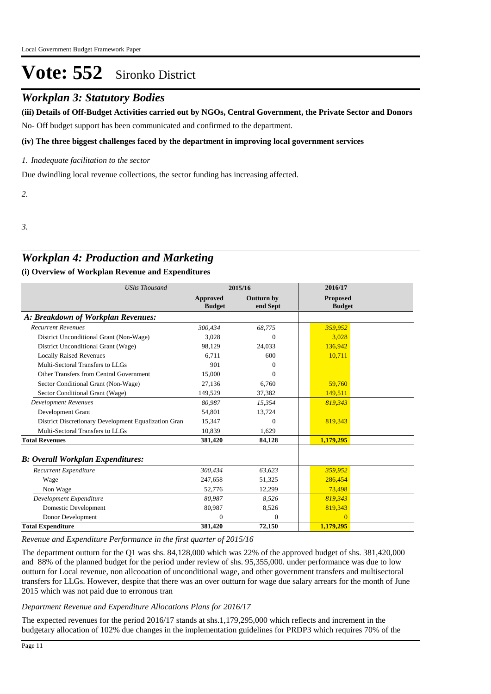## *Workplan 3: Statutory Bodies*

No- Off budget support has been communicated and confirmed to the department. **(iii) Details of Off-Budget Activities carried out by NGOs, Central Government, the Private Sector and Donors** 

#### **(iv) The three biggest challenges faced by the department in improving local government services**

*Inadequate facilitation to the sector 1.*

Due dwindling local revenue collections, the sector funding has increasing affected.

*2.*

*3.*

## *Workplan 4: Production and Marketing*

#### **(i) Overview of Workplan Revenue and Expenditures**

| <b>UShs Thousand</b>                                 |                           | 2015/16                | 2016/17                          |  |
|------------------------------------------------------|---------------------------|------------------------|----------------------------------|--|
|                                                      | Approved<br><b>Budget</b> | Outturn by<br>end Sept | <b>Proposed</b><br><b>Budget</b> |  |
| A: Breakdown of Workplan Revenues:                   |                           |                        |                                  |  |
| <b>Recurrent Revenues</b>                            | 300,434                   | 68,775                 | 359,952                          |  |
| District Unconditional Grant (Non-Wage)              | 3.028                     | $\Omega$               | 3.028                            |  |
| District Unconditional Grant (Wage)                  | 98,129                    | 24,033                 | 136,942                          |  |
| <b>Locally Raised Revenues</b>                       | 6.711                     | 600                    | 10,711                           |  |
| Multi-Sectoral Transfers to LLGs                     | 901                       | 0                      |                                  |  |
| Other Transfers from Central Government              | 15,000                    | $\Omega$               |                                  |  |
| Sector Conditional Grant (Non-Wage)                  | 27,136                    | 6,760                  | 59,760                           |  |
| Sector Conditional Grant (Wage)                      | 149,529                   | 37,382                 | 149,511                          |  |
| <b>Development Revenues</b>                          | 80.987                    | 15,354                 | 819.343                          |  |
| Development Grant                                    | 54,801                    | 13,724                 |                                  |  |
| District Discretionary Development Equalization Gran | 15,347                    | $\Omega$               | 819,343                          |  |
| Multi-Sectoral Transfers to LLGs                     | 10.839                    | 1,629                  |                                  |  |
| <b>Total Revenues</b>                                | 381,420                   | 84,128                 | 1,179,295                        |  |
| <b>B: Overall Workplan Expenditures:</b>             |                           |                        |                                  |  |
| Recurrent Expenditure                                | 300,434                   | 63,623                 | 359,952                          |  |
| Wage                                                 | 247.658                   | 51,325                 | 286,454                          |  |
| Non Wage                                             | 52,776                    | 12,299                 | 73,498                           |  |
| Development Expenditure                              | 80,987                    | 8,526                  | 819,343                          |  |
| Domestic Development                                 | 80,987                    | 8,526                  | 819,343                          |  |
| Donor Development                                    | $\Omega$                  | $\Omega$               | $\Omega$                         |  |
| <b>Total Expenditure</b>                             | 381,420                   | 72,150                 | 1,179,295                        |  |

*Revenue and Expenditure Performance in the first quarter of 2015/16*

The department outturn for the Q1 was shs. 84,128,000 which was 22% of the approved budget of shs. 381,420,000 and 88% of the planned budget for the period under review of shs. 95,355,000. under performance was due to low outturn for Local revenue, non allcooation of unconditional wage, and other government transfers and multisectoral transfers for LLGs. However, despite that there was an over outturn for wage due salary arrears for the month of June 2015 which was not paid due to erronous tran

#### *Department Revenue and Expenditure Allocations Plans for 2016/17*

The expected revenues for the period 2016/17 stands at shs.1,179,295,000 which reflects and increment in the budgetary allocation of 102% due changes in the implementation guidelines for PRDP3 which requires 70% of the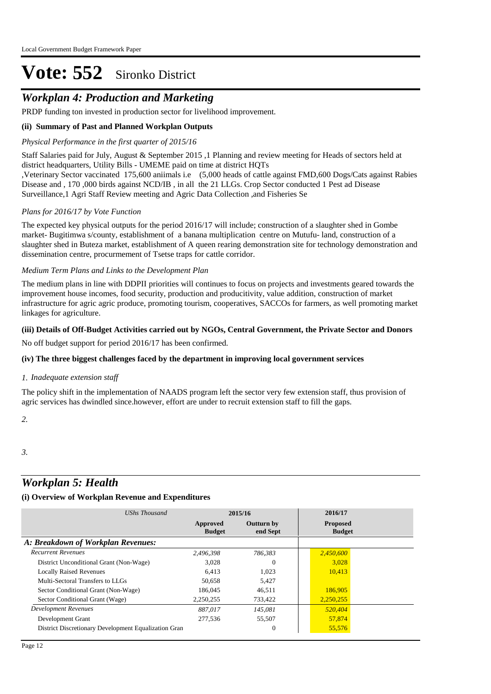## *Workplan 4: Production and Marketing*

PRDP funding ton invested in production sector for livelihood improvement.

#### **(ii) Summary of Past and Planned Workplan Outputs**

#### *Physical Performance in the first quarter of 2015/16*

Staff Salaries paid for July, August & September 2015 ,1 Planning and review meeting for Heads of sectors held at district headquarters, Utility Bills - UMEME paid on time at district HQTs

,Veterinary Sector vaccinated 175,600 aniimals i.e (5,000 heads of cattle against FMD,600 Dogs/Cats against Rabies Disease and , 170 ,000 birds against NCD/IB , in all the 21 LLGs. Crop Sector conducted 1 Pest ad Disease Surveillance,1 Agri Staff Review meeting and Agric Data Collection ,and Fisheries Se

#### *Plans for 2016/17 by Vote Function*

The expected key physical outputs for the period 2016/17 will include; construction of a slaughter shed in Gombe market- Bugitimwa s/county, establishment of a banana multiplication centre on Mutufu- land, construction of a slaughter shed in Buteza market, establishment of A queen rearing demonstration site for technology demonstration and dissemination centre, procurmement of Tsetse traps for cattle corridor.

#### *Medium Term Plans and Links to the Development Plan*

The medium plans in line with DDPII priorities will continues to focus on projects and investments geared towards the improvement house incomes, food security, production and producitivity, value addition, construction of market infrastructure for agric agric produce, promoting tourism, cooperatives, SACCOs for farmers, as well promoting market linkages for agriculture.

#### **(iii) Details of Off-Budget Activities carried out by NGOs, Central Government, the Private Sector and Donors**

No off budget support for period 2016/17 has been confirmed.

#### **(iv) The three biggest challenges faced by the department in improving local government services**

#### *Inadequate extension staff 1.*

The policy shift in the implementation of NAADS program left the sector very few extension staff, thus provision of agric services has dwindled since.however, effort are under to recruit extension staff to fill the gaps.

*2.*

#### *3.*

### *Workplan 5: Health*

| UShs Thousand                                        |                           | 2015/16                       | 2016/17                          |
|------------------------------------------------------|---------------------------|-------------------------------|----------------------------------|
|                                                      | Approved<br><b>Budget</b> | <b>Outturn by</b><br>end Sept | <b>Proposed</b><br><b>Budget</b> |
| A: Breakdown of Workplan Revenues:                   |                           |                               |                                  |
| <b>Recurrent Revenues</b>                            | 2.496.398                 | 786.383                       | 2,450,600                        |
| District Unconditional Grant (Non-Wage)              | 3.028                     | $\Omega$                      | 3,028                            |
| <b>Locally Raised Revenues</b>                       | 6.413                     | 1,023                         | 10,413                           |
| Multi-Sectoral Transfers to LLGs                     | 50,658                    | 5,427                         |                                  |
| Sector Conditional Grant (Non-Wage)                  | 186,045                   | 46,511                        | 186,905                          |
| Sector Conditional Grant (Wage)                      | 2,250,255                 | 733,422                       | 2,250,255                        |
| <b>Development Revenues</b>                          | 887.017                   | 145,081                       | 520,404                          |
| Development Grant                                    | 277,536                   | 55,507                        | 57,874                           |
| District Discretionary Development Equalization Gran |                           | $\overline{0}$                | 55,576                           |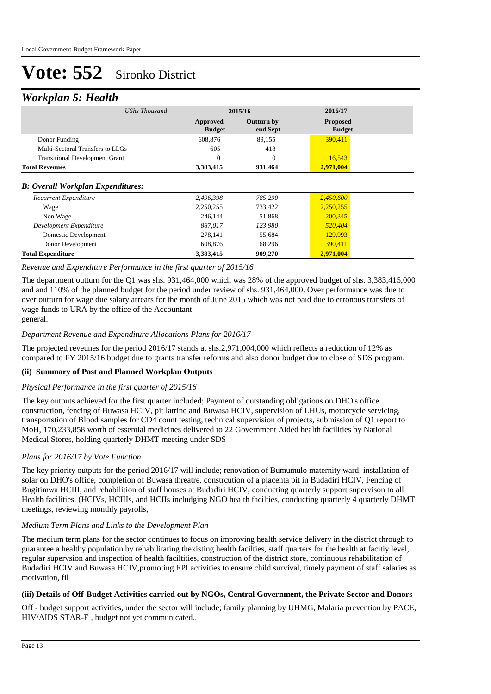### *Workplan 5: Health*

| ┻                                        |                           |                        |                                  |
|------------------------------------------|---------------------------|------------------------|----------------------------------|
| UShs Thousand                            |                           | 2015/16                | 2016/17                          |
|                                          | Approved<br><b>Budget</b> | Outturn by<br>end Sept | <b>Proposed</b><br><b>Budget</b> |
| Donor Funding                            | 608,876                   | 89,155                 | 390,411                          |
| Multi-Sectoral Transfers to LLGs         | 605                       | 418                    |                                  |
| <b>Transitional Development Grant</b>    | $\Omega$                  | $\Omega$               | 16,543                           |
| <b>Total Revenues</b>                    | 3,383,415                 | 931,464                | 2,971,004                        |
| <b>B: Overall Workplan Expenditures:</b> |                           |                        |                                  |
| Recurrent Expenditure                    | 2,496,398                 | 785,290                | 2,450,600                        |
| Wage                                     | 2,250,255                 | 733,422                | 2,250,255                        |
| Non Wage                                 | 246,144                   | 51,868                 | 200,345                          |
| Development Expenditure                  | 887,017                   | 123,980                | 520,404                          |
| Domestic Development                     | 278,141                   | 55,684                 | 129,993                          |
| Donor Development                        | 608,876                   | 68,296                 | 390,411                          |
| <b>Total Expenditure</b>                 | 3,383,415                 | 909,270                | 2,971,004                        |

#### *Revenue and Expenditure Performance in the first quarter of 2015/16*

The department outturn for the Q1 was shs. 931,464,000 which was 28% of the approved budget of shs. 3,383,415,000 and and 110% of the planned budget for the period under review of shs. 931,464,000. Over performance was due to over outturn for wage due salary arrears for the month of June 2015 which was not paid due to erronous transfers of wage funds to URA by the office of the Accountant general.

#### *Department Revenue and Expenditure Allocations Plans for 2016/17*

The projected reveunes for the period 2016/17 stands at shs.2,971,004,000 which reflects a reduction of 12% as compared to FY 2015/16 budget due to grants transfer reforms and also donor budget due to close of SDS program.

#### **(ii) Summary of Past and Planned Workplan Outputs**

#### *Physical Performance in the first quarter of 2015/16*

The key outputs achieved for the first quarter included; Payment of outstanding obligations on DHO's office construction, fencing of Buwasa HCIV, pit latrine and Buwasa HCIV, supervision of LHUs, motorcycle servicing, transportstion of Blood samples for CD4 count testing, technical supervision of projects, submission of Q1 report to MoH, 170,233,858 worth of essential medicines delivered to 22 Government Aided health facilities by National Medical Stores, holding quarterly DHMT meeting under SDS

#### *Plans for 2016/17 by Vote Function*

The key priority outputs for the period 2016/17 will include; renovation of Bumumulo maternity ward, installation of solar on DHO's office, completion of Buwasa threatre, constrcution of a placenta pit in Budadiri HCIV, Fencing of Bugitimwa HCIII, and rehabilition of staff houses at Budadiri HCIV, conducting quarterly support supervison to all Health facilities, (HCIVs, HCIIIs, and HCIIs includging NGO health facilties, conducting quarterly 4 quarterly DHMT meetings, reviewing monthly payrolls,

#### *Medium Term Plans and Links to the Development Plan*

The medium term plans for the sector continues to focus on improving health service delivery in the district through to guarantee a healthy population by rehabilitating thexisting health facilties, staff quarters for the health at facitiy level, regular supervsion and inspection of health faciltities, construction of the district store, continuous rehabilitation of Budadiri HCIV and Buwasa HCIV,promoting EPI activities to ensure child survival, timely payment of staff salaries as motivation, fil

#### **(iii) Details of Off-Budget Activities carried out by NGOs, Central Government, the Private Sector and Donors**

Off - budget support activities, under the sector will include; family planning by UHMG, Malaria prevention by PACE, HIV/AIDS STAR-E , budget not yet communicated..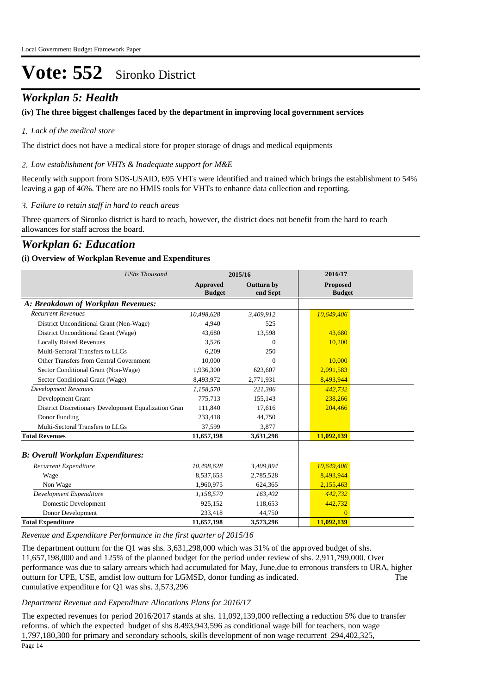## *Workplan 5: Health*

#### **(iv) The three biggest challenges faced by the department in improving local government services**

#### *Lack of the medical store 1.*

The district does not have a medical store for proper storage of drugs and medical equipments

#### *Low establishment for VHTs & Inadequate support for M&E 2.*

Recently with support from SDS-USAID, 695 VHTs were identified and trained which brings the establishment to 54% leaving a gap of 46%. There are no HMIS tools for VHTs to enhance data collection and reporting.

#### *Failure to retain staff in hard to reach areas 3.*

Three quarters of Sironko district is hard to reach, however, the district does not benefit from the hard to reach allowances for staff across the board.

### *Workplan 6: Education*

#### **(i) Overview of Workplan Revenue and Expenditures**

| <b>UShs Thousand</b>                                 |                           | 2015/16                | 2016/17                          |  |
|------------------------------------------------------|---------------------------|------------------------|----------------------------------|--|
|                                                      | Approved<br><b>Budget</b> | Outturn by<br>end Sept | <b>Proposed</b><br><b>Budget</b> |  |
| A: Breakdown of Workplan Revenues:                   |                           |                        |                                  |  |
| <b>Recurrent Revenues</b>                            | 10,498,628                | 3,409,912              | 10,649,406                       |  |
| District Unconditional Grant (Non-Wage)              | 4.940                     | 525                    |                                  |  |
| District Unconditional Grant (Wage)                  | 43,680                    | 13,598                 | 43,680                           |  |
| <b>Locally Raised Revenues</b>                       | 3,526                     | $\Omega$               | 10,200                           |  |
| Multi-Sectoral Transfers to LLGs                     | 6,209                     | 250                    |                                  |  |
| Other Transfers from Central Government              | 10,000                    | $\Omega$               | 10,000                           |  |
| Sector Conditional Grant (Non-Wage)                  | 1,936,300                 | 623.607                | 2,091,583                        |  |
| Sector Conditional Grant (Wage)                      | 8,493,972                 | 2,771,931              | 8,493,944                        |  |
| <b>Development Revenues</b>                          | 1,158,570                 | 221,386                | 442,732                          |  |
| Development Grant                                    | 775,713                   | 155,143                | 238,266                          |  |
| District Discretionary Development Equalization Gran | 111.840                   | 17,616                 | 204,466                          |  |
| Donor Funding                                        | 233,418                   | 44,750                 |                                  |  |
| Multi-Sectoral Transfers to LLGs                     | 37,599                    | 3,877                  |                                  |  |
| <b>Total Revenues</b>                                | 11,657,198                | 3,631,298              | 11,092,139                       |  |
| <b>B: Overall Workplan Expenditures:</b>             |                           |                        |                                  |  |
| Recurrent Expenditure                                | 10,498,628                | 3,409,894              | 10,649,406                       |  |
| Wage                                                 | 8,537,653                 | 2,785,528              | 8,493,944                        |  |
| Non Wage                                             | 1,960,975                 | 624,365                | 2,155,463                        |  |
| Development Expenditure                              | 1,158,570                 | 163,402                | 442,732                          |  |
| Domestic Development                                 | 925,152                   | 118,653                | 442,732                          |  |
| Donor Development                                    | 233,418                   | 44,750                 | $\overline{0}$                   |  |
| <b>Total Expenditure</b>                             | 11,657,198                | 3,573,296              | 11,092,139                       |  |

*Revenue and Expenditure Performance in the first quarter of 2015/16*

The department outturn for the Q1 was shs. 3,631,298,000 which was 31% of the approved budget of shs. 11,657,198,000 and and 125% of the planned budget for the period under review of shs. 2,911,799,000. Over performance was due to salary arrears which had accumulated for May, June,due to erronous transfers to URA, higher outturn for UPE, USE, amdist low outturn for LGMSD, donor funding as indicated. The cumulative expenditure for Q1 was shs. 3,573,296

#### *Department Revenue and Expenditure Allocations Plans for 2016/17*

The expected revenues for period 2016/2017 stands at shs. 11,092,139,000 reflecting a reduction 5% due to transfer reforms. of which the expected budget of shs 8.493,943,596 as conditional wage bill for teachers, non wage 1,797,180,300 for primary and secondary schools, skills development of non wage recurrent 294,402,325,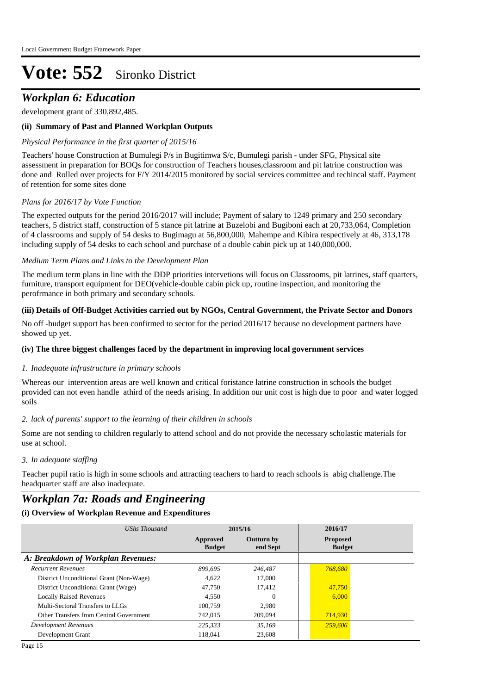### *Workplan 6: Education*

development grant of 330,892,485.

#### **(ii) Summary of Past and Planned Workplan Outputs**

#### *Physical Performance in the first quarter of 2015/16*

Teachers' house Construction at Bumulegi P/s in Bugitimwa S/c, Bumulegi parish - under SFG, Physical site assessment in preparation for BOQs for construction of Teachers houses,classroom and pit latrine construction was done and Rolled over projects for F/Y 2014/2015 monitored by social services committee and techincal staff. Payment of retention for some sites done

#### *Plans for 2016/17 by Vote Function*

The expected outputs for the period 2016/2017 will include; Payment of salary to 1249 primary and 250 secondary teachers, 5 district staff, construction of 5 stance pit latrine at Buzelobi and Bugiboni each at 20,733,064, Completion of 4 classrooms and supply of 54 desks to Bugimagu at 56,800,000, Mahempe and Kibira respectively at 46, 313,178 including supply of 54 desks to each school and purchase of a double cabin pick up at 140,000,000.

#### *Medium Term Plans and Links to the Development Plan*

The medium term plans in line with the DDP priorities intervetions will focus on Classrooms, pit latrines, staff quarters, furniture, transport equipment for DEO(vehicle-double cabin pick up, routine inspection, and monitoring the perofrmance in both primary and secondary schools.

#### **(iii) Details of Off-Budget Activities carried out by NGOs, Central Government, the Private Sector and Donors**

No off -budget support has been confirmed to sector for the period 2016/17 because no development partners have showed up yet.

#### **(iv) The three biggest challenges faced by the department in improving local government services**

#### *Inadequate infrastructure in primary schools 1.*

Whereas our intervention areas are well known and critical foristance latrine construction in schools the budget provided can not even handle athird of the needs arising. In addition our unit cost is high due to poor and water logged soils

#### *lack of parents' support to the learning of their children in schools 2.*

Some are not sending to children regularly to attend school and do not provide the necessary scholastic materials for use at school.

#### *In adequate staffing 3.*

Teacher pupil ratio is high in some schools and attracting teachers to hard to reach schools is abig challenge.The headquarter staff are also inadequate.

## *Workplan 7a: Roads and Engineering*

| UShs Thousand                           |                           | 2015/16                       | 2016/17                          |  |
|-----------------------------------------|---------------------------|-------------------------------|----------------------------------|--|
|                                         | Approved<br><b>Budget</b> | <b>Outturn by</b><br>end Sept | <b>Proposed</b><br><b>Budget</b> |  |
| A: Breakdown of Workplan Revenues:      |                           |                               |                                  |  |
| <b>Recurrent Revenues</b>               | 899.695                   | 246,487                       | 768,680                          |  |
| District Unconditional Grant (Non-Wage) | 4,622                     | 17,000                        |                                  |  |
| District Unconditional Grant (Wage)     | 47.750                    | 17.412                        | 47,750                           |  |
| <b>Locally Raised Revenues</b>          | 4.550                     | $\Omega$                      | 6.000                            |  |
| Multi-Sectoral Transfers to LLGs        | 100.759                   | 2.980                         |                                  |  |
| Other Transfers from Central Government | 742,015                   | 209,094                       | 714,930                          |  |
| <b>Development Revenues</b>             | 225.333                   | 35.169                        | 259,606                          |  |
| Development Grant                       | 118,041                   | 23,608                        |                                  |  |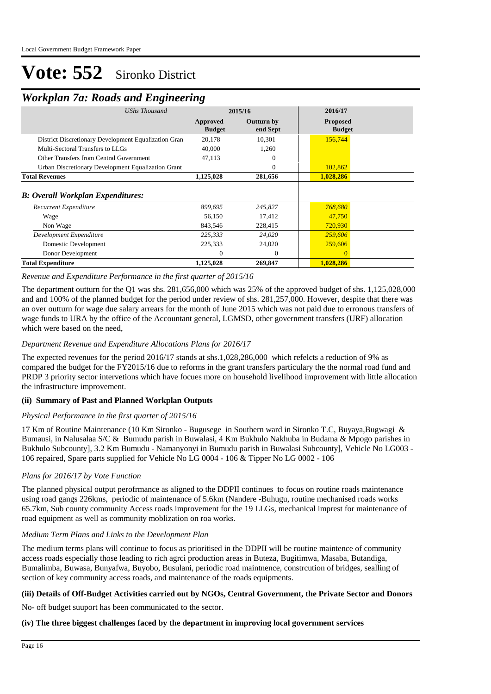## *Workplan 7a: Roads and Engineering*

| ┻                                                    | o                    | o                         |                               |                                  |  |
|------------------------------------------------------|----------------------|---------------------------|-------------------------------|----------------------------------|--|
|                                                      | <b>UShs Thousand</b> |                           | 2015/16                       | 2016/17                          |  |
|                                                      |                      | Approved<br><b>Budget</b> | <b>Outturn by</b><br>end Sept | <b>Proposed</b><br><b>Budget</b> |  |
| District Discretionary Development Equalization Gran |                      | 20,178                    | 10,301                        | 156,744                          |  |
| Multi-Sectoral Transfers to LLGs                     |                      | 40,000                    | 1,260                         |                                  |  |
| <b>Other Transfers from Central Government</b>       |                      | 47,113                    | 0                             |                                  |  |
| Urban Discretionary Development Equalization Grant   |                      |                           | 0                             | 102,862                          |  |
| <b>Total Revenues</b>                                |                      | 1,125,028                 | 281,656                       | 1,028,286                        |  |
| <b>B: Overall Workplan Expenditures:</b>             |                      |                           |                               |                                  |  |
| Recurrent Expenditure                                |                      | 899,695                   | 245,827                       | 768,680                          |  |
| Wage                                                 |                      | 56,150                    | 17,412                        | 47.750                           |  |
| Non Wage                                             |                      | 843,546                   | 228,415                       | 720,930                          |  |
| Development Expenditure                              |                      | 225,333                   | 24,020                        | 259,606                          |  |
| Domestic Development                                 |                      | 225,333                   | 24,020                        | 259,606                          |  |
| Donor Development                                    |                      | $\Omega$                  | $\Omega$                      | $\Omega$                         |  |
| <b>Total Expenditure</b>                             |                      | 1,125,028                 | 269,847                       | 1,028,286                        |  |

#### *Revenue and Expenditure Performance in the first quarter of 2015/16*

The department outturn for the Q1 was shs. 281,656,000 which was 25% of the approved budget of shs. 1,125,028,000 and and 100% of the planned budget for the period under review of shs. 281,257,000. However, despite that there was an over outturn for wage due salary arrears for the month of June 2015 which was not paid due to erronous transfers of wage funds to URA by the office of the Accountant general, LGMSD, other government transfers (URF) allocation which were based on the need,

#### *Department Revenue and Expenditure Allocations Plans for 2016/17*

The expected revenues for the period 2016/17 stands at shs.1,028,286,000 which refelcts a reduction of 9% as compared the budget for the FY2015/16 due to reforms in the grant transfers particulary the the normal road fund and PRDP 3 priority sector intervetions which have focues more on household livelihood improvement with little allocation the infrastructure improvement.

#### **(ii) Summary of Past and Planned Workplan Outputs**

#### *Physical Performance in the first quarter of 2015/16*

17 Km of Routine Maintenance (10 Km Sironko - Bugusege in Southern ward in Sironko T.C, Buyaya,Bugwagi & Bumausi, in Nalusalaa S/C & Bumudu parish in Buwalasi, 4 Km Bukhulo Nakhuba in Budama & Mpogo parishes in Bukhulo Subcounty], 3.2 Km Bumudu - Namanyonyi in Bumudu parish in Buwalasi Subcounty], Vehicle No LG003 - 106 repaired, Spare parts supplied for Vehicle No LG 0004 - 106 & Tipper No LG 0002 - 106

#### *Plans for 2016/17 by Vote Function*

The planned physical output perofrmance as aligned to the DDPII continues to focus on routine roads maintenance using road gangs 226kms, periodic of maintenance of 5.6km (Nandere -Buhugu, routine mechanised roads works 65.7km, Sub county community Access roads improvement for the 19 LLGs, mechanical imprest for maintenance of road equipment as well as community moblization on roa works.

#### *Medium Term Plans and Links to the Development Plan*

The medium terms plans will continue to focus as prioritised in the DDPII will be routine maintence of community access roads especially those leading to rich agrci production areas in Buteza, Bugitimwa, Masaba, Butandiga, Bumalimba, Buwasa, Bunyafwa, Buyobo, Busulani, periodic road maintnence, constrcution of bridges, sealling of section of key community access roads, and maintenance of the roads equipments.

#### **(iii) Details of Off-Budget Activities carried out by NGOs, Central Government, the Private Sector and Donors**

No- off budget suuport has been communicated to the sector.

#### **(iv) The three biggest challenges faced by the department in improving local government services**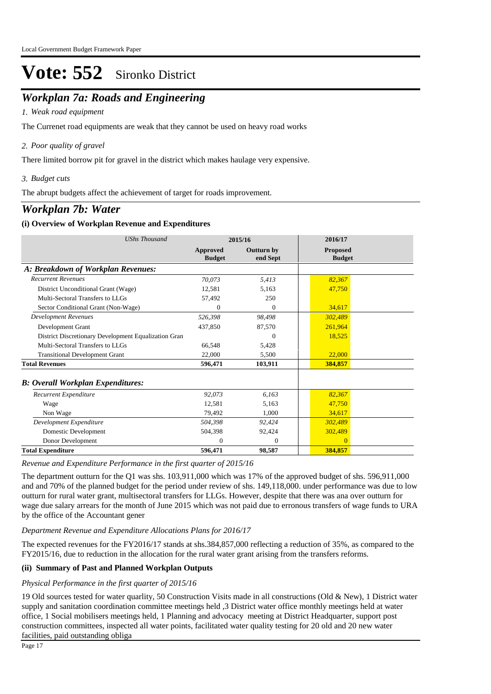## *Workplan 7a: Roads and Engineering*

#### *Weak road equipment 1.*

The Currenet road equipments are weak that they cannot be used on heavy road works

#### *Poor quality of gravel 2.*

There limited borrow pit for gravel in the district which makes haulage very expensive.

#### *Budget cuts 3.*

The abrupt budgets affect the achievement of target for roads improvement.

### *Workplan 7b: Water*

#### **(i) Overview of Workplan Revenue and Expenditures**

| <b>UShs Thousand</b>                                 | 2015/16                   |                               | 2016/17                          |  |
|------------------------------------------------------|---------------------------|-------------------------------|----------------------------------|--|
|                                                      | Approved<br><b>Budget</b> | <b>Outturn by</b><br>end Sept | <b>Proposed</b><br><b>Budget</b> |  |
| A: Breakdown of Workplan Revenues:                   |                           |                               |                                  |  |
| <b>Recurrent Revenues</b>                            | 70.073                    | 5,413                         | 82,367                           |  |
| District Unconditional Grant (Wage)                  | 12,581                    | 5,163                         | 47,750                           |  |
| Multi-Sectoral Transfers to LLGs                     | 57,492                    | 250                           |                                  |  |
| Sector Conditional Grant (Non-Wage)                  | $\Omega$                  | $\Omega$                      | 34,617                           |  |
| <b>Development Revenues</b>                          | 526.398                   | 98,498                        | 302,489                          |  |
| Development Grant                                    | 437,850                   | 87,570                        | 261,964                          |  |
| District Discretionary Development Equalization Gran |                           | $\Omega$                      | 18,525                           |  |
| Multi-Sectoral Transfers to LLGs                     | 66,548                    | 5,428                         |                                  |  |
| <b>Transitional Development Grant</b>                | 22,000                    | 5,500                         | 22,000                           |  |
| <b>Total Revenues</b>                                | 596,471                   | 103,911                       | 384,857                          |  |
| <b>B: Overall Workplan Expenditures:</b>             |                           |                               |                                  |  |
| Recurrent Expenditure                                | 92,073                    | 6.163                         | 82,367                           |  |
| Wage                                                 | 12,581                    | 5,163                         | 47,750                           |  |
| Non Wage                                             | 79,492                    | 1,000                         | 34,617                           |  |
| Development Expenditure                              | 504,398                   | 92,424                        | 302,489                          |  |
| Domestic Development                                 | 504,398                   | 92,424                        | 302,489                          |  |
| Donor Development                                    | $\Omega$                  | $\theta$                      | 0                                |  |
| <b>Total Expenditure</b>                             | 596,471                   | 98,587                        | 384,857                          |  |

#### *Revenue and Expenditure Performance in the first quarter of 2015/16*

The department outturn for the Q1 was shs. 103,911,000 which was 17% of the approved budget of shs. 596,911,000 and and 70% of the planned budget for the period under review of shs. 149,118,000. under performance was due to low outturn for rural water grant, multisectoral transfers for LLGs. However, despite that there was ana over outturn for wage due salary arrears for the month of June 2015 which was not paid due to erronous transfers of wage funds to URA by the office of the Accountant gener

#### *Department Revenue and Expenditure Allocations Plans for 2016/17*

The expected revenues for the FY2016/17 stands at shs.384,857,000 reflecting a reduction of 35%, as compared to the FY2015/16, due to reduction in the allocation for the rural water grant arising from the transfers reforms.

#### **(ii) Summary of Past and Planned Workplan Outputs**

#### *Physical Performance in the first quarter of 2015/16*

19 Old sources tested for water quarlity, 50 Construction Visits made in all constructions (Old & New), 1 District water supply and sanitation coordination committee meetings held ,3 District water office monthly meetings held at water office, 1 Social mobilisers meetings held, 1 Planning and advocacy meeting at District Headquarter, support post construction committees, inspected all water points, facilitated water quality testing for 20 old and 20 new water facilities, paid outstanding obliga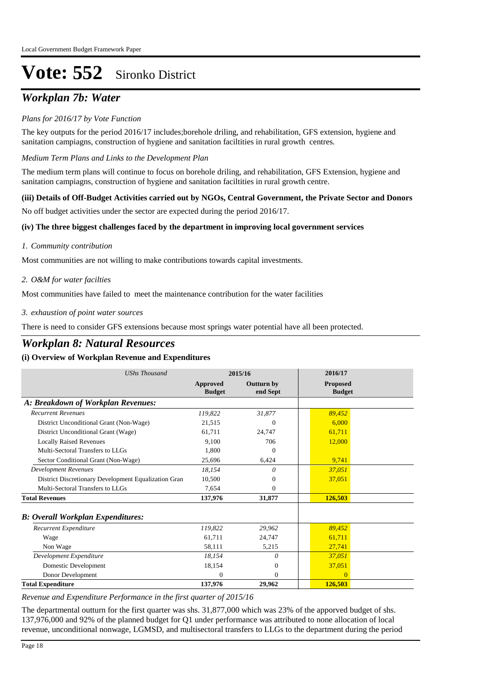## *Workplan 7b: Water*

#### *Plans for 2016/17 by Vote Function*

The key outputs for the period 2016/17 includes;borehole driling, and rehabilitation, GFS extension, hygiene and sanitation campiagns, construction of hygiene and sanitation faciltities in rural growth centres.

*Medium Term Plans and Links to the Development Plan*

The medium term plans will continue to focus on borehole driling, and rehabilitation, GFS Extension, hygiene and sanitation campiagns, construction of hygiene and sanitation faciltities in rural growth centre.

#### **(iii) Details of Off-Budget Activities carried out by NGOs, Central Government, the Private Sector and Donors**

No off budget activities under the sector are expected during the period 2016/17.

#### **(iv) The three biggest challenges faced by the department in improving local government services**

#### *Community contribution 1.*

Most communities are not willing to make contributions towards capital investments.

#### *O&M for water facilties 2.*

Most communities have failed to meet the maintenance contribution for the water facilities

#### *exhaustion of point water sources 3.*

There is need to consider GFS extensions because most springs water potential have all been protected.

### *Workplan 8: Natural Resources*

#### **(i) Overview of Workplan Revenue and Expenditures**

| <b>UShs Thousand</b>                                 |                           | 2015/16                       | 2016/17                          |
|------------------------------------------------------|---------------------------|-------------------------------|----------------------------------|
|                                                      | Approved<br><b>Budget</b> | <b>Outturn by</b><br>end Sept | <b>Proposed</b><br><b>Budget</b> |
| A: Breakdown of Workplan Revenues:                   |                           |                               |                                  |
| <b>Recurrent Revenues</b>                            | 119,822                   | 31,877                        | 89,452                           |
| District Unconditional Grant (Non-Wage)              | 21,515                    | $\Omega$                      | 6.000                            |
| District Unconditional Grant (Wage)                  | 61,711                    | 24,747                        | 61,711                           |
| <b>Locally Raised Revenues</b>                       | 9,100                     | 706                           | 12,000                           |
| Multi-Sectoral Transfers to LLGs                     | 1.800                     | $\Omega$                      |                                  |
| Sector Conditional Grant (Non-Wage)                  | 25,696                    | 6,424                         | 9,741                            |
| <b>Development Revenues</b>                          | 18.154                    | 0                             | 37,051                           |
| District Discretionary Development Equalization Gran | 10,500                    | 0                             | 37,051                           |
| Multi-Sectoral Transfers to LLGs                     | 7,654                     | 0                             |                                  |
| <b>Total Revenues</b>                                | 137,976                   | 31,877                        | 126,503                          |
| B: Overall Workplan Expenditures:                    |                           |                               |                                  |
| Recurrent Expenditure                                | 119,822                   | 29,962                        | 89,452                           |
| Wage                                                 | 61.711                    | 24,747                        | 61,711                           |
| Non Wage                                             | 58,111                    | 5,215                         | 27,741                           |
| Development Expenditure                              | 18,154                    | 0                             | 37,051                           |
| Domestic Development                                 | 18,154                    | $\Omega$                      | 37,051                           |
| Donor Development                                    | $\Omega$                  | $\mathbf{0}$                  |                                  |
| <b>Total Expenditure</b>                             | 137,976                   | 29,962                        | 126.503                          |

*Revenue and Expenditure Performance in the first quarter of 2015/16*

The departmental outturn for the first quarter was shs. 31,877,000 which was 23% of the apporved budget of shs. 137,976,000 and 92% of the planned budget for Q1 under performance was attributed to none allocation of local revenue, unconditional nonwage, LGMSD, and multisectoral transfers to LLGs to the department during the period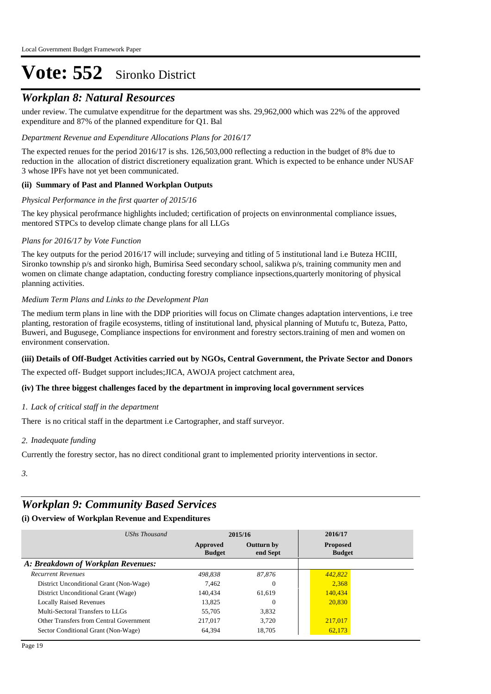### *Workplan 8: Natural Resources*

under review. The cumulatve expenditrue for the department was shs. 29,962,000 which was 22% of the approved expenditure and 87% of the planned expenditure for Q1. Bal

#### *Department Revenue and Expenditure Allocations Plans for 2016/17*

The expected renues for the period 2016/17 is shs. 126,503,000 reflecting a reduction in the budget of 8% due to reduction in the allocation of district discretionery equalization grant. Which is expected to be enhance under NUSAF 3 whose IPFs have not yet been communicated.

#### **(ii) Summary of Past and Planned Workplan Outputs**

#### *Physical Performance in the first quarter of 2015/16*

The key physical perofrmance highlights included; certification of projects on envinronmental compliance issues, mentored STPCs to develop climate change plans for all LLGs

#### *Plans for 2016/17 by Vote Function*

The key outputs for the period 2016/17 will include; surveying and titling of 5 institutional land i.e Buteza HCIII, Sironko township p/s and sironko high, Bumirisa Seed secondary school, salikwa p/s, training community men and women on climate change adaptation, conducting forestry compliance inpsections,quarterly monitoring of physical planning activities.

#### *Medium Term Plans and Links to the Development Plan*

The medium term plans in line with the DDP priorities will focus on Climate changes adaptation interventions, i.e tree planting, restoration of fragile ecosystems, titling of institutional land, physical planning of Mutufu tc, Buteza, Patto, Buweri, and Bugusege, Compliance inspections for environment and forestry sectors.training of men and women on environment conservation.

#### **(iii) Details of Off-Budget Activities carried out by NGOs, Central Government, the Private Sector and Donors**

The expected off- Budget support includes;JICA, AWOJA project catchment area,

#### **(iv) The three biggest challenges faced by the department in improving local government services**

#### *Lack of critical staff in the department 1.*

There is no critical staff in the department i.e Cartographer, and staff surveyor.

#### *Inadequate funding 2.*

Currently the forestry sector, has no direct conditional grant to implemented priority interventions in sector.

*3.*

### *Workplan 9: Community Based Services*

| UShs Thousand                           |                           | 2015/16                       | 2016/17                          |  |  |
|-----------------------------------------|---------------------------|-------------------------------|----------------------------------|--|--|
|                                         | Approved<br><b>Budget</b> | <b>Outturn by</b><br>end Sept | <b>Proposed</b><br><b>Budget</b> |  |  |
| A: Breakdown of Workplan Revenues:      |                           |                               |                                  |  |  |
| <b>Recurrent Revenues</b>               | 498.838                   | 87.876                        | 442,822                          |  |  |
| District Unconditional Grant (Non-Wage) | 7.462                     | 0                             | 2.368                            |  |  |
| District Unconditional Grant (Wage)     | 140.434                   | 61.619                        | 140,434                          |  |  |
| <b>Locally Raised Revenues</b>          | 13.825                    | 0                             | 20,830                           |  |  |
| Multi-Sectoral Transfers to LLGs        | 55,705                    | 3.832                         |                                  |  |  |
| Other Transfers from Central Government | 217,017                   | 3.720                         | 217,017                          |  |  |
| Sector Conditional Grant (Non-Wage)     | 64,394                    | 18.705                        | 62,173                           |  |  |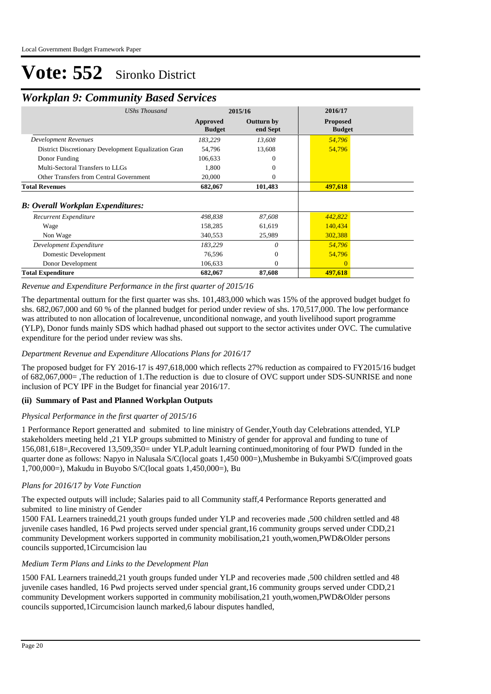### *Workplan 9: Community Based Services*

| <b>UShs Thousand</b>                                 |                           | 2015/16                       | 2016/17                          |
|------------------------------------------------------|---------------------------|-------------------------------|----------------------------------|
|                                                      |                           |                               |                                  |
|                                                      | Approved<br><b>Budget</b> | <b>Outturn by</b><br>end Sept | <b>Proposed</b><br><b>Budget</b> |
| <b>Development Revenues</b>                          | 183,229                   | 13,608                        | 54,796                           |
| District Discretionary Development Equalization Gran | 54,796                    | 13,608                        | 54,796                           |
| Donor Funding                                        | 106,633                   | $\Omega$                      |                                  |
| Multi-Sectoral Transfers to LLGs                     | 1,800                     | $\Omega$                      |                                  |
| Other Transfers from Central Government              | 20,000                    | $\mathbf{0}$                  |                                  |
| <b>Total Revenues</b>                                | 682,067                   | 101,483                       | 497,618                          |
|                                                      |                           |                               |                                  |
| <b>B: Overall Workplan Expenditures:</b>             |                           |                               |                                  |
| Recurrent Expenditure                                | 498,838                   | 87,608                        | 442,822                          |
| Wage                                                 | 158,285                   | 61,619                        | 140,434                          |
| Non Wage                                             | 340,553                   | 25,989                        | 302,388                          |
| Development Expenditure                              | 183,229                   | $\theta$                      | 54,796                           |
| Domestic Development                                 | 76,596                    | $\theta$                      | 54,796                           |
| Donor Development                                    | 106,633                   | $\Omega$                      |                                  |
| <b>Total Expenditure</b>                             | 682,067                   | 87,608                        | 497,618                          |

#### *Revenue and Expenditure Performance in the first quarter of 2015/16*

The departmental outturn for the first quarter was shs. 101,483,000 which was 15% of the approved budget budget fo shs. 682,067,000 and 60 % of the planned budget for period under review of shs. 170,517,000. The low performance was attributed to non allocation of localrevenue, unconditional nonwage, and youth livelihood suport programme (YLP), Donor funds mainly SDS which hadhad phased out support to the sector activites under OVC. The cumulative expenditure for the period under review was shs.

#### *Department Revenue and Expenditure Allocations Plans for 2016/17*

The proposed budget for FY 2016-17 is 497,618,000 which reflects 27% reduction as compaired to FY2015/16 budget of 682,067,000= ,The reduction of 1.The reduction is due to closure of OVC support under SDS-SUNRISE and none inclusion of PCY IPF in the Budget for financial year 2016/17.

#### **(ii) Summary of Past and Planned Workplan Outputs**

#### *Physical Performance in the first quarter of 2015/16*

1 Performance Report generatted and submited to line ministry of Gender,Youth day Celebrations attended, YLP stakeholders meeting held ,21 YLP groups submitted to Ministry of gender for approval and funding to tune of 156,081,618=,Recovered 13,509,350= under YLP,adult learning continued,monitoring of four PWD funded in the quarter done as follows: Napyo in Nalusala S/C(local goats 1,450 000=),Mushembe in Bukyambi S/C(improved goats 1,700,000=), Makudu in Buyobo S/C(local goats 1,450,000=), Bu

#### *Plans for 2016/17 by Vote Function*

The expected outputs will include; Salaries paid to all Community staff,4 Performance Reports generatted and submited to line ministry of Gender

1500 FAL Learners trainedd,21 youth groups funded under YLP and recoveries made ,500 children settled and 48 juvenile cases handled, 16 Pwd projects served under spencial grant,16 community groups served under CDD,21 community Development workers supported in community mobilisation,21 youth,women,PWD&Older persons councils supported,1Circumcision lau

#### *Medium Term Plans and Links to the Development Plan*

1500 FAL Learners trainedd,21 youth groups funded under YLP and recoveries made ,500 children settled and 48 juvenile cases handled, 16 Pwd projects served under spencial grant,16 community groups served under CDD,21 community Development workers supported in community mobilisation,21 youth,women,PWD&Older persons councils supported,1Circumcision launch marked,6 labour disputes handled,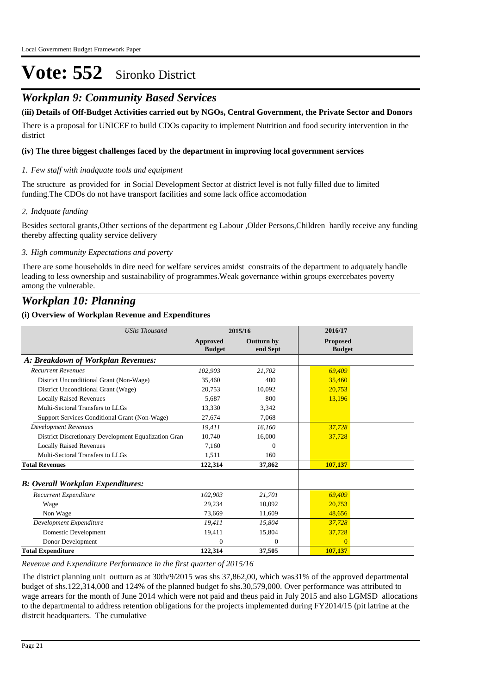### *Workplan 9: Community Based Services*

#### **(iii) Details of Off-Budget Activities carried out by NGOs, Central Government, the Private Sector and Donors**

There is a proposal for UNICEF to build CDOs capacity to implement Nutrition and food security intervention in the district

#### **(iv) The three biggest challenges faced by the department in improving local government services**

#### *Few staff with inadquate tools and equipment 1.*

The structure as provided for in Social Development Sector at district level is not fully filled due to limited funding.The CDOs do not have transport facilities and some lack office accomodation

#### *Indquate funding 2.*

Besides sectoral grants,Other sections of the department eg Labour ,Older Persons,Children hardly receive any funding thereby affecting quality service delivery

#### *High community Expectations and poverty 3.*

There are some households in dire need for welfare services amidst constraits of the department to adquately handle leading to less ownership and sustainability of programmes.Weak governance within groups exercebates poverty among the vulnerable.

### *Workplan 10: Planning*

#### **(i) Overview of Workplan Revenue and Expenditures**

| <b>UShs Thousand</b>                                 |                                  | 2015/16                       | 2016/17                          |  |
|------------------------------------------------------|----------------------------------|-------------------------------|----------------------------------|--|
|                                                      | <b>Approved</b><br><b>Budget</b> | <b>Outturn by</b><br>end Sept | <b>Proposed</b><br><b>Budget</b> |  |
| A: Breakdown of Workplan Revenues:                   |                                  |                               |                                  |  |
| <b>Recurrent Revenues</b>                            | 102,903                          | 21,702                        | 69,409                           |  |
| District Unconditional Grant (Non-Wage)              | 35,460                           | 400                           | 35,460                           |  |
| District Unconditional Grant (Wage)                  | 20.753                           | 10.092                        | 20,753                           |  |
| <b>Locally Raised Revenues</b>                       | 5.687                            | 800                           | 13,196                           |  |
| Multi-Sectoral Transfers to LLGs                     | 13.330                           | 3,342                         |                                  |  |
| Support Services Conditional Grant (Non-Wage)        | 27,674                           | 7,068                         |                                  |  |
| <b>Development Revenues</b>                          | 19,411                           | 16,160                        | 37,728                           |  |
| District Discretionary Development Equalization Gran | 10.740                           | 16,000                        | 37,728                           |  |
| <b>Locally Raised Revenues</b>                       | 7,160                            | $\Omega$                      |                                  |  |
| Multi-Sectoral Transfers to LLGs                     | 1.511                            | 160                           |                                  |  |
| <b>Total Revenues</b>                                | 122,314                          | 37,862                        | 107,137                          |  |
| <b>B</b> : Overall Workplan Expenditures:            |                                  |                               |                                  |  |
| Recurrent Expenditure                                | 102,903                          | 21,701                        | 69,409                           |  |
| Wage                                                 | 29,234                           | 10,092                        | 20,753                           |  |
| Non Wage                                             | 73,669                           | 11,609                        | 48.656                           |  |
| Development Expenditure                              | 19,411                           | 15,804                        | 37,728                           |  |
| Domestic Development                                 | 19,411                           | 15,804                        | 37,728                           |  |
| Donor Development                                    | $\Omega$                         | 0                             | $\Omega$                         |  |
| <b>Total Expenditure</b>                             | 122,314                          | 37,505                        | 107,137                          |  |

#### *Revenue and Expenditure Performance in the first quarter of 2015/16*

The district planning unit outturn as at 30th/9/2015 was shs 37,862,00, which was31% of the approved departmental budget of shs.122,314,000 and 124% of the planned budget fo shs.30,579,000. Over performance was attributed to wage arrears for the month of June 2014 which were not paid and theus paid in July 2015 and also LGMSD allocations to the departmental to address retention obligations for the projects implemented during FY2014/15 (pit latrine at the distrcit headquarters. The cumulative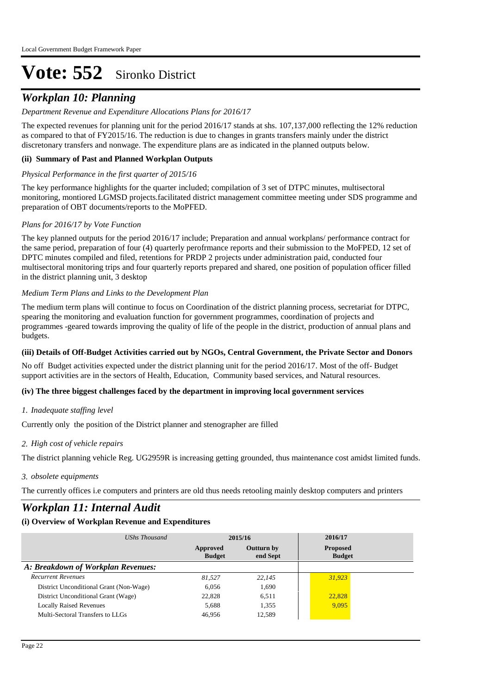## *Workplan 10: Planning*

#### *Department Revenue and Expenditure Allocations Plans for 2016/17*

The expected revenues for planning unit for the period 2016/17 stands at shs. 107,137,000 reflecting the 12% reduction as compared to that of FY2015/16. The reduction is due to changes in grants transfers mainly under the district discretonary transfers and nonwage. The expenditure plans are as indicated in the planned outputs below.

#### **(ii) Summary of Past and Planned Workplan Outputs**

#### *Physical Performance in the first quarter of 2015/16*

The key performance highlights for the quarter included; compilation of 3 set of DTPC minutes, multisectoral monitoring, montiored LGMSD projects.facilitated district management committee meeting under SDS programme and preparation of OBT documents/reports to the MoPFED.

#### *Plans for 2016/17 by Vote Function*

The key planned outputs for the period 2016/17 include; Preparation and annual workplans/ performance contract for the same period, preparation of four (4) quarterly perofrmance reports and their submission to the MoFPED, 12 set of DPTC minutes compiled and filed, retentions for PRDP 2 projects under administration paid, conducted four multisectoral monitoring trips and four quarterly reports prepared and shared, one position of population officer filled in the district planning unit, 3 desktop

#### *Medium Term Plans and Links to the Development Plan*

The medium term plans will continue to focus on Coordination of the district planning process, secretariat for DTPC, spearing the monitoring and evaluation function for government programmes, coordination of projects and programmes -geared towards improving the quality of life of the people in the district, production of annual plans and budgets.

#### **(iii) Details of Off-Budget Activities carried out by NGOs, Central Government, the Private Sector and Donors**

No off Budget activities expected under the district planning unit for the period 2016/17. Most of the off- Budget support activities are in the sectors of Health, Education, Community based services, and Natural resources.

#### **(iv) The three biggest challenges faced by the department in improving local government services**

#### *Inadequate staffing level 1.*

Currently only the position of the District planner and stenographer are filled

#### *High cost of vehicle repairs 2.*

The district planning vehicle Reg. UG2959R is increasing getting grounded, thus maintenance cost amidst limited funds.

#### *obsolete equipments 3.*

The currently offices i.e computers and printers are old thus needs retooling mainly desktop computers and printers

### *Workplan 11: Internal Audit*

| UShs Thousand                           | 2015/16                   |                               | 2016/17                          |
|-----------------------------------------|---------------------------|-------------------------------|----------------------------------|
|                                         | Approved<br><b>Budget</b> | <b>Outturn by</b><br>end Sept | <b>Proposed</b><br><b>Budget</b> |
| A: Breakdown of Workplan Revenues:      |                           |                               |                                  |
| <b>Recurrent Revenues</b>               | 81.527                    | 22.145                        | 31.923                           |
| District Unconditional Grant (Non-Wage) | 6.056                     | 1.690                         |                                  |
| District Unconditional Grant (Wage)     | 22.828                    | 6.511                         | 22,828                           |
| <b>Locally Raised Revenues</b>          | 5,688                     | 1,355                         | 9.095                            |
| Multi-Sectoral Transfers to LLGs        | 46.956                    | 12,589                        |                                  |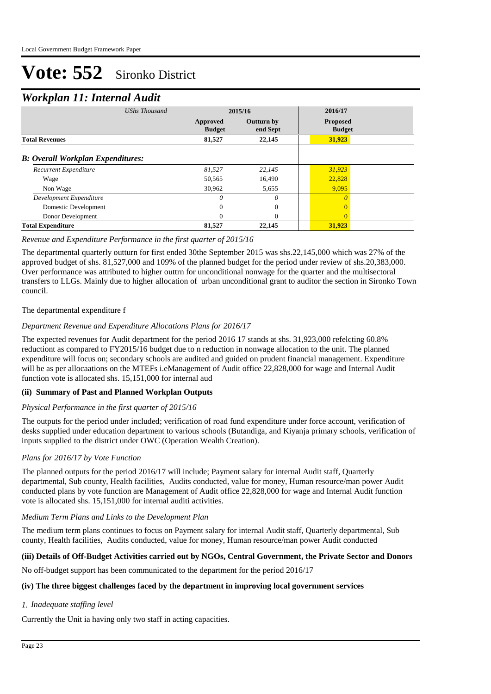### *Workplan 11: Internal Audit*

| <b>UShs Thousand</b>                     |                           | 2015/16                       | 2016/17                          |
|------------------------------------------|---------------------------|-------------------------------|----------------------------------|
|                                          | Approved<br><b>Budget</b> | <b>Outturn by</b><br>end Sept | <b>Proposed</b><br><b>Budget</b> |
| <b>Total Revenues</b>                    | 81,527                    | 22,145                        | 31,923                           |
| <b>B:</b> Overall Workplan Expenditures: |                           |                               |                                  |
| Recurrent Expenditure                    | 81,527                    | 22,145                        | 31,923                           |
| Wage                                     | 50,565                    | 16.490                        | 22,828                           |
| Non Wage                                 | 30,962                    | 5,655                         | 9,095                            |
| Development Expenditure                  | 0                         | 0                             | $\theta$                         |
| Domestic Development                     | 0                         | $\mathbf{0}$                  | $\Omega$                         |
| Donor Development                        | 0                         | $\Omega$                      | $\Omega$                         |
| <b>Total Expenditure</b>                 | 81,527                    | 22,145                        | 31,923                           |

#### *Revenue and Expenditure Performance in the first quarter of 2015/16*

The departmental quarterly outturn for first ended 30the September 2015 was shs.22,145,000 which was 27% of the approved budget of shs. 81,527,000 and 109% of the planned budget for the period under review of shs.20,383,000. Over performance was attributed to higher outtrn for unconditional nonwage for the quarter and the multisectoral transfers to LLGs. Mainly due to higher allocation of urban unconditional grant to auditor the section in Sironko Town council.

#### The departmental expenditure f

#### *Department Revenue and Expenditure Allocations Plans for 2016/17*

The expected revenues for Audit department for the period 2016 17 stands at shs. 31,923,000 refelcting 60.8% reductiont as compared to FY2015/16 budget due to n reduction in nonwage allocation to the unit. The planned expenditure will focus on; secondary schools are audited and guided on prudent financial management. Expenditure will be as per allocaations on the MTEFs i.eManagement of Audit office 22,828,000 for wage and Internal Audit function vote is allocated shs. 15,151,000 for internal aud

#### **(ii) Summary of Past and Planned Workplan Outputs**

#### *Physical Performance in the first quarter of 2015/16*

The outputs for the period under included; verification of road fund expenditure under force account, verification of desks supplied under education department to various schools (Butandiga, and Kiyanja primary schools, verification of inputs supplied to the district under OWC (Operation Wealth Creation).

#### *Plans for 2016/17 by Vote Function*

The planned outputs for the period 2016/17 will include; Payment salary for internal Audit staff, Quarterly departmental, Sub county, Health facilities, Audits conducted, value for money, Human resource/man power Audit conducted plans by vote function are Management of Audit office 22,828,000 for wage and Internal Audit function vote is allocated shs. 15,151,000 for internal auditi activities.

#### *Medium Term Plans and Links to the Development Plan*

The medium term plans continues to focus on Payment salary for internal Audit staff, Quarterly departmental, Sub county, Health facilities, Audits conducted, value for money, Human resource/man power Audit conducted

#### **(iii) Details of Off-Budget Activities carried out by NGOs, Central Government, the Private Sector and Donors**

No off-budget support has been communicated to the department for the period 2016/17

#### **(iv) The three biggest challenges faced by the department in improving local government services**

#### *Inadequate staffing level 1.*

Currently the Unit ia having only two staff in acting capacities.